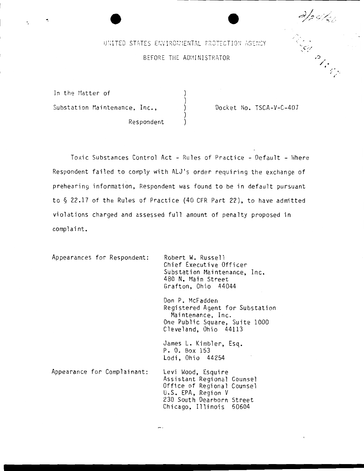$\mathscr{C}_{\mathscr{C}}$ 

> **<sup>i</sup> ''** "·

# $\cup$   $\setminus$  TED STATES ENVIRONMENTAL PROTECTION AGENCY  $\setminus$ BEFORE THE ADMINISTRATOR

) ) ) ) )

In the Matter of Substation Maintenance, Inc.,

Respondent

·.

 $\bullet$ 

Docket No. TSCA-V-C-407

To xic Substances Control Act - Rules of Practice - Default - Where Respondent failed to comply with ALJ's order requiring the exchange of prehearing information, Respondent was found to be in default pursuant to§ 22.17 of the Rules of Practice (40 CFR Part 22), to have admitted violations charged and assessed full amount of penalty proposed in complaint.

Appearances for Respondent: Appearance for Complainant: Robert W. Russell Chief Executive Officer Substation Maintenance, Inc. 480 N. Main Street Grafton, Ohio 44044 Don P. McFadden Registered Agent for Substation Maintenance, Inc. One Public Square, Suite 1000 Cleveland, Ohio 44113 James L. Kimbler, Esq. P. 0. Box 153 Lodi, Ohio 44254 Levi Wood, Esquire Assistant Regional Counsel Office of Regional Counsel U.S. EPA, Region V 230 South Dearborn Street Chicago, Illinois 60604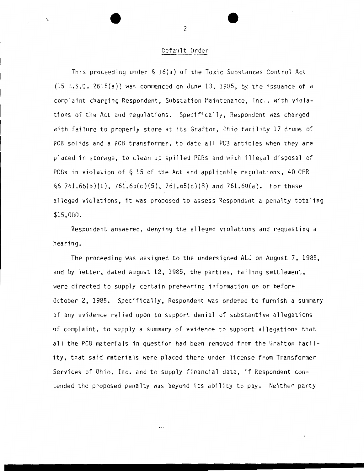#### Default Order

This proceeding under  $\S$  16(a) of the Toxic Substances Control Act  $(15 \cup .S.C. 2615(a))$  was commenced on June 13, 1985, by the issuance of a complaint charging Respondent, Substation Maintenance, Inc., with violations of the Act and regulations. Specifically, Respondent was charged with failure to properly store at its Grafton, Ohio facility 17 drums of PCB solids and a PCB transformer, to date all PCB articles when they are placed in storage, to clean up spilled PCBs and with illegal disposal of PCBs in violation of  $\S$  15 of the Act and applicable regulations, 40 CFR  $\S$ § 761.65(b)(1), 761.65(c)(5), 761.65(c)(8) and 761.60(a). For these alleged violations, it was proposed to assess Respondent a penalty totaling \$15,000.

Respondent answered, denying the alleged violations and requesting a hearing.

The proceeding was assigned to the undersigned ALJ on August 7, 1985, and by letter, dated August 12, 1985, the parties, failing settlement, were directed to supply certain prehearing information on or before October 2, 1985. Specifically, Respondent was ordered to furnish a summary of any evidence relied upon to support denial of substantive allegations of complaint, to supply a summary of evidence to support allegations that all the PCB materials in question had been removed from the Grafton facility, that said materials were placed there under license from Transformer Services of Ohio, Inc. and to supply financial data, if Respondent contended the proposed penalty was beyond its ability to pay. Neither party

2

' .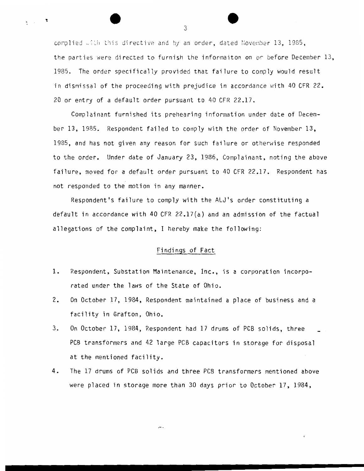complied ...th this directive and by an order, dated November 13, 1985, the parties were directed to furnish the informaiton on or before December 13, 1985. The order specifically provided that failure to comply would result in dismissal of the proceeding with prejudice in accordance with 40 CFR 22. 20 or entry of a default order pursuant to 40 CFR 22.17.

Complainant furnished its prehearing information under date of December 13, 1985. Respondent failed to comply with the order of November 13, 1985, and has not given any reason for such failure or otherwise responded to the order. Under date of January 23, 1986, Complainant, noting the above failure, moved for a default order pursuant to 40 CFR 22.17. Respondent has not responded to the motion in any manner.

Respondent's failure to comply with the ALJ's order constituting a default in accordance with 40 CFR  $22.17(a)$  and an admission of the factual allegations of the complaint, I hereby make the following:

# Findings of Fact

- 1. Respondent, Substation Maintenance, Inc., is a corporation incorporated under the laws of the State of Ohio.
- 2. On October 17, 1984, Respondent maintained a place of business and a facility in Grafton, Ohio.
- 3. On October 17, 1984, Respondent had 17 drums of PCB solids, three PCB transformers and 42 large PCB capacitors in storage for disposal at the mentioned facility.
- 4. The 17 drums of PCB solids and three PCB transformers mentioned above were placed in storage more than 30 days prior to October 17, 1984,

3

 $\chi_{\rm{max}}=2$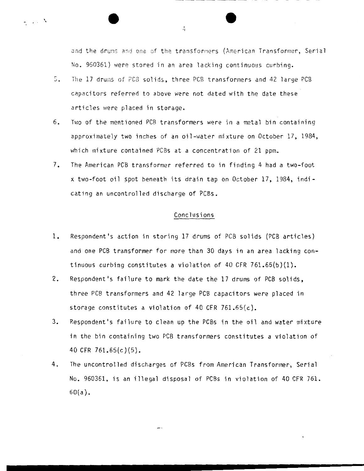and the drums and one of the transformers (American Transformer, Serial No. 960361) were stored in an area lacking continuous curbing.

- 5. The 17 drums of PCB solids, three PCB transformers and 42 large PCB capacitors referred to above were not dated with the date these articles were placed in storage.
- 6. Two of the mentioned PCB transformers were in a metal bin containing approximately two inches of an oil-water mixture on October 17, 1984, which mixture contained PCBs at a concentration of 21 ppm.
- 7. The American PCB transformer referred to in finding 4 had a two-foot x two-foot oil spot beneath its drain tap on October 17, 1984, indieating an uncontrolled discharge of PCBs.

# Conclusions

- 1. Respondent's action in storing 17 drums of PCB solids (PCB articles) and one PCB transformer for more than 30 days in an area lacking continuous curbing constitutes a violation of 40 CFR 761.65(b)(1).
- 2. Respondent's failure to mark the date the 17 drums of PCB solids, three PCB transformers and 42 large PCB capacitors were placed in storage constitutes a violation of 40 CFR 761.65 $(c)$ .
- 3. Respondent's failure to clean up the PCBs in the oil and water mixture in the bin containing two PCB transformers constitutes a violation of 40 CFR 761.65(c)(5).
- 4. The uncontrolled discharges of PCBs from American Transformer, Serial No. 960361, is an illegal disposal of PCBs in violation of 40 CFR 761. 60(a).

4

•.